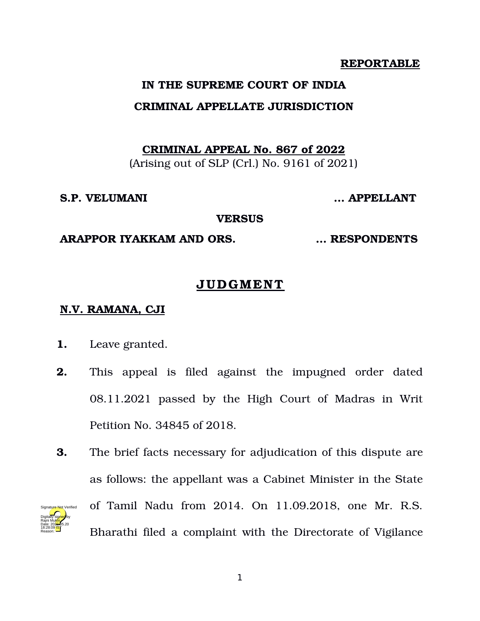#### **REPORTABLE**

### **IN THE SUPREME COURT OF INDIA**

## **CRIMINAL APPELLATE JURISDICTION**

**CRIMINAL APPEAL No. 867 of 2022**

(Arising out of SLP (Crl.) No. 9161 of 2021)

#### **S.P. VELUMANI … APPELLANT**

**VERSUS**

### **ARAPPOR IYAKKAM AND ORS. … RESPONDENTS**

# **JUDGMENT**

# **N.V. RAMANA , CJI**

- **1.** Leave granted.
- **2.** This appeal is filed against the impugned order dated 08.11.2021 passed by the High Court of Madras in Writ Petition No. 34845 of 2018.
- **3.** The brief facts necessary for adjudication of this dispute are as follows: the appellant was a Cabinet Minister in the State of Tamil Nadu from 2014. On 11.09.2018, one Mr. R.S. Bharathi filed a complaint with the Directorate of Vigilance Digitally signed by Rajni Mukhi Date: 2022.05.20 18:28:09<sup>1S</sup> Reason: Signature Not Verified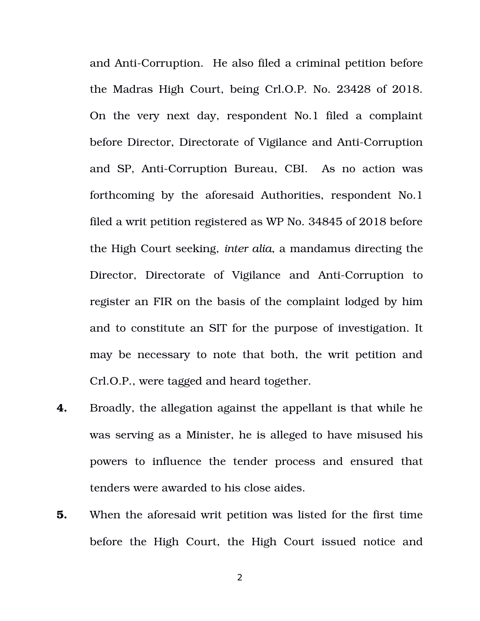and Anti-Corruption. He also filed a criminal petition before the Madras High Court, being Crl.O.P. No. 23428 of 2018. On the very next day, respondent No.1 filed a complaint before Director, Directorate of Vigilance and Anti-Corruption and SP, Anti-Corruption Bureau, CBI. As no action was forthcoming by the aforesaid Authorities, respondent No.1 filed a writ petition registered as WP No. 34845 of 2018 before the High Court seeking, *inter alia*, a mandamus directing the Director, Directorate of Vigilance and Anti-Corruption to register an FIR on the basis of the complaint lodged by him and to constitute an SIT for the purpose of investigation. It may be necessary to note that both, the writ petition and Crl.O.P., were tagged and heard together.

- **4.** Broadly, the allegation against the appellant is that while he was serving as a Minister, he is alleged to have misused his powers to influence the tender process and ensured that tenders were awarded to his close aides.
- **5.** When the aforesaid writ petition was listed for the first time before the High Court, the High Court issued notice and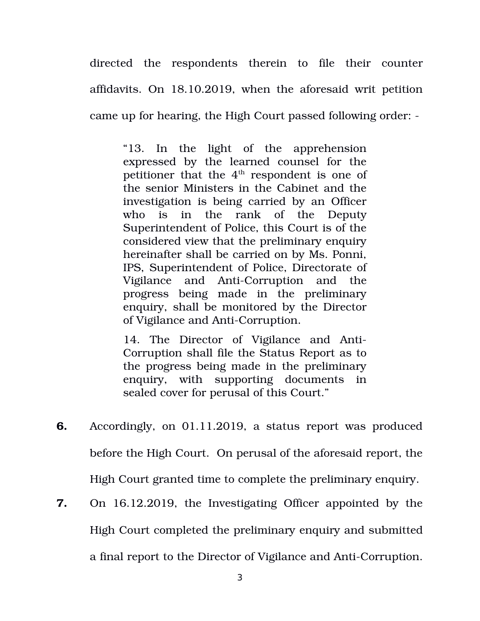directed the respondents therein to file their counter affidavits. On 18.10.2019, when the aforesaid writ petition came up for hearing, the High Court passed following order:

"13. In the light of the apprehension expressed by the learned counsel for the petitioner that the  $4<sup>th</sup>$  respondent is one of the senior Ministers in the Cabinet and the investigation is being carried by an Officer who is in the rank of the Deputy Superintendent of Police, this Court is of the considered view that the preliminary enquiry hereinafter shall be carried on by Ms. Ponni, IPS, Superintendent of Police, Directorate of Vigilance and Anti-Corruption and the progress being made in the preliminary enquiry, shall be monitored by the Director of Vigilance and Anti-Corruption.

14. The Director of Vigilance and Anti-Corruption shall file the Status Report as to the progress being made in the preliminary enquiry, with supporting documents in sealed cover for perusal of this Court."

- **6.** Accordingly, on 01.11.2019, a status report was produced before the High Court. On perusal of the aforesaid report, the High Court granted time to complete the preliminary enquiry.
- **7.** On 16.12.2019, the Investigating Officer appointed by the High Court completed the preliminary enquiry and submitted a final report to the Director of Vigilance and Anti-Corruption.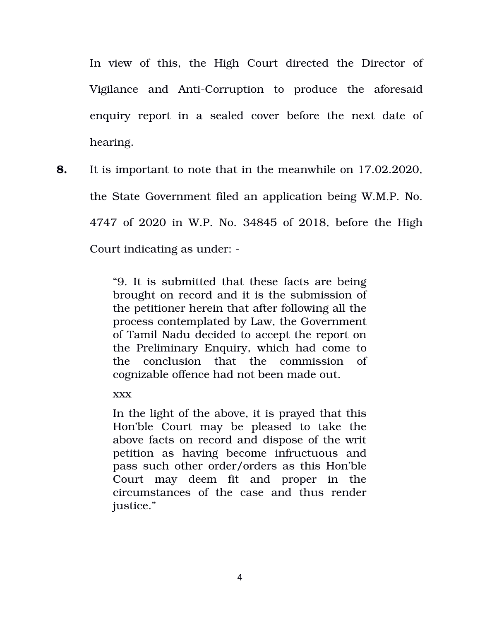In view of this, the High Court directed the Director of Vigilance and Anti-Corruption to produce the aforesaid enquiry report in a sealed cover before the next date of hearing.

**8.** It is important to note that in the meanwhile on 17.02.2020, the State Government filed an application being W.M.P. No. 4747 of 2020 in W.P. No. 34845 of 2018, before the High Court indicating as under:

> "9. It is submitted that these facts are being brought on record and it is the submission of the petitioner herein that after following all the process contemplated by Law, the Government of Tamil Nadu decided to accept the report on the Preliminary Enquiry, which had come to the conclusion that the commission of cognizable offence had not been made out.

xxx

In the light of the above, it is prayed that this Hon'ble Court may be pleased to take the above facts on record and dispose of the writ petition as having become infructuous and pass such other order/orders as this Hon'ble Court may deem fit and proper in the circumstances of the case and thus render justice."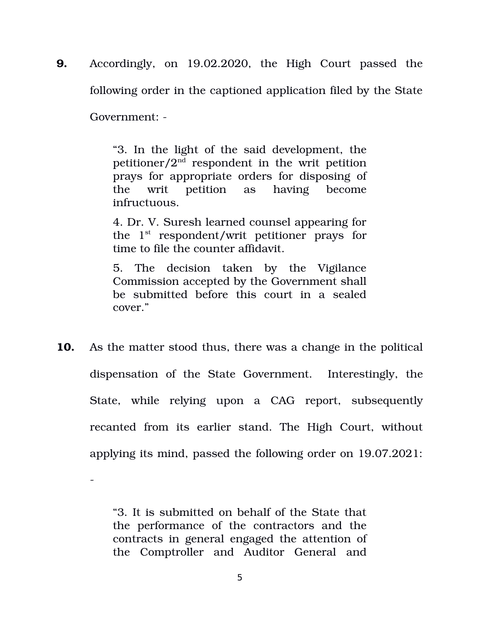**9.** Accordingly, on 19.02.2020, the High Court passed the following order in the captioned application filed by the State Government:

> "3. In the light of the said development, the petitioner/ $2^{\overline{nd}}$  respondent in the writ petition prays for appropriate orders for disposing of the writ petition as having become infructuous.

> 4. Dr. V. Suresh learned counsel appearing for the  $1<sup>st</sup>$  respondent/writ petitioner prays for time to file the counter affidavit.

> 5. The decision taken by the Vigilance Commission accepted by the Government shall be submitted before this court in a sealed cover."

**10.** As the matter stood thus, there was a change in the political dispensation of the State Government. Interestingly, the State, while relying upon a CAG report, subsequently recanted from its earlier stand. The High Court, without applying its mind, passed the following order on 19.07.2021:

> "3. It is submitted on behalf of the State that the performance of the contractors and the contracts in general engaged the attention of the Comptroller and Auditor General and

 $\overline{a}$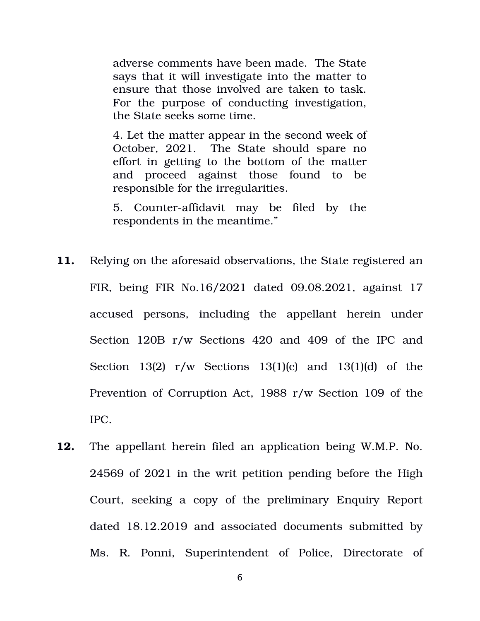adverse comments have been made. The State says that it will investigate into the matter to ensure that those involved are taken to task. For the purpose of conducting investigation, the State seeks some time.

4. Let the matter appear in the second week of October, 2021. The State should spare no effort in getting to the bottom of the matter and proceed against those found to be responsible for the irregularities.

5. Counter-affidavit may be filed by the respondents in the meantime."

- **11.** Relying on the aforesaid observations, the State registered an FIR, being FIR No.16/2021 dated 09.08.2021, against 17 accused persons, including the appellant herein under Section 120B r/w Sections 420 and 409 of the IPC and Section  $13(2)$  r/w Sections  $13(1)(c)$  and  $13(1)(d)$  of the Prevention of Corruption Act, 1988 r/w Section 109 of the IPC.
- **12.** The appellant herein filed an application being W.M.P. No. 24569 of 2021 in the writ petition pending before the High Court, seeking a copy of the preliminary Enquiry Report dated 18.12.2019 and associated documents submitted by Ms. R. Ponni, Superintendent of Police, Directorate of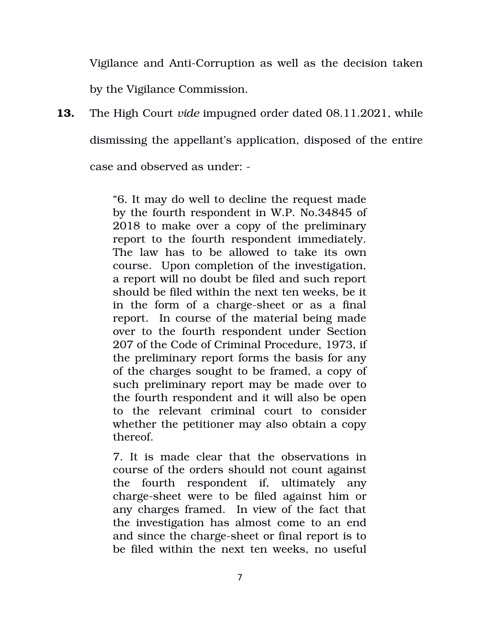Vigilance and Anti-Corruption as well as the decision taken by the Vigilance Commission.

**13.** The High Court *vide* impugned order dated 08.11.2021, while dismissing the appellant's application, disposed of the entire case and observed as under:

> "6. It may do well to decline the request made by the fourth respondent in W.P. No.34845 of 2018 to make over a copy of the preliminary report to the fourth respondent immediately. The law has to be allowed to take its own course. Upon completion of the investigation, a report will no doubt be filed and such report should be filed within the next ten weeks, be it in the form of a charge-sheet or as a final report. In course of the material being made over to the fourth respondent under Section 207 of the Code of Criminal Procedure, 1973, if the preliminary report forms the basis for any of the charges sought to be framed, a copy of such preliminary report may be made over to the fourth respondent and it will also be open to the relevant criminal court to consider whether the petitioner may also obtain a copy thereof.

> 7. It is made clear that the observations in course of the orders should not count against the fourth respondent if, ultimately any charge-sheet were to be filed against him or any charges framed. In view of the fact that the investigation has almost come to an end and since the charge-sheet or final report is to be filed within the next ten weeks, no useful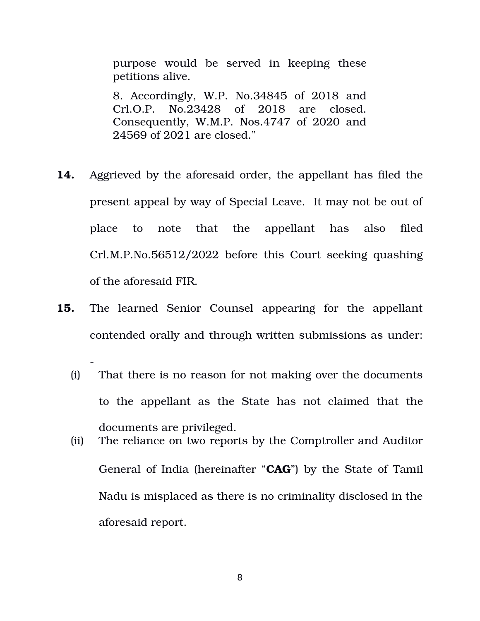purpose would be served in keeping these petitions alive.

8. Accordingly, W.P. No.34845 of 2018 and Crl.O.P. No.23428 of 2018 are closed. Consequently, W.M.P. Nos.4747 of 2020 and 24569 of 2021 are closed."

- **14.** Aggrieved by the aforesaid order, the appellant has filed the present appeal by way of Special Leave. It may not be out of place to note that the appellant has also filed Crl.M.P.No.56512/2022 before this Court seeking quashing of the aforesaid FIR.
- **15.** The learned Senior Counsel appearing for the appellant contended orally and through written submissions as under:

 $\overline{a}$ 

- (i) That there is no reason for not making over the documents to the appellant as the State has not claimed that the documents are privileged.
- (ii) The reliance on two reports by the Comptroller and Auditor General of India (hereinafter "**CAG**") by the State of Tamil Nadu is misplaced as there is no criminality disclosed in the aforesaid report.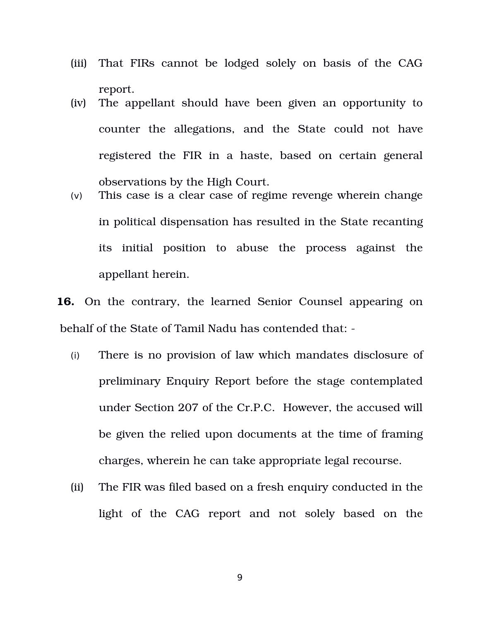- (iii) That FIRs cannot be lodged solely on basis of the CAG report.
- (iv) The appellant should have been given an opportunity to counter the allegations, and the State could not have registered the FIR in a haste, based on certain general observations by the High Court.
- (v) This case is a clear case of regime revenge wherein change in political dispensation has resulted in the State recanting its initial position to abuse the process against the appellant herein.

**16.** On the contrary, the learned Senior Counsel appearing on behalf of the State of Tamil Nadu has contended that:

- (i) There is no provision of law which mandates disclosure of preliminary Enquiry Report before the stage contemplated under Section 207 of the Cr.P.C. However, the accused will be given the relied upon documents at the time of framing charges, wherein he can take appropriate legal recourse.
- (ii) The FIR was filed based on a fresh enquiry conducted in the light of the CAG report and not solely based on the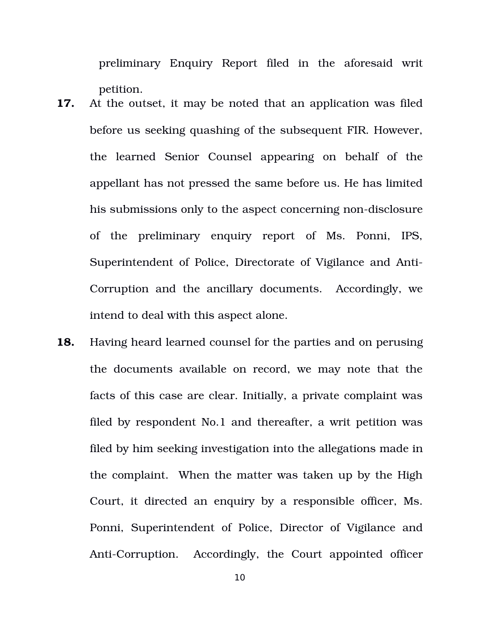preliminary Enquiry Report filed in the aforesaid writ petition.

- **17.** At the outset, it may be noted that an application was filed before us seeking quashing of the subsequent FIR. However, the learned Senior Counsel appearing on behalf of the appellant has not pressed the same before us. He has limited his submissions only to the aspect concerning non-disclosure of the preliminary enquiry report of Ms. Ponni, IPS, Superintendent of Police, Directorate of Vigilance and Anti-Corruption and the ancillary documents. Accordingly, we intend to deal with this aspect alone.
- **18.** Having heard learned counsel for the parties and on perusing the documents available on record, we may note that the facts of this case are clear. Initially, a private complaint was filed by respondent No.1 and thereafter, a writ petition was filed by him seeking investigation into the allegations made in the complaint. When the matter was taken up by the High Court, it directed an enquiry by a responsible officer, Ms. Ponni, Superintendent of Police, Director of Vigilance and AntiCorruption. Accordingly, the Court appointed officer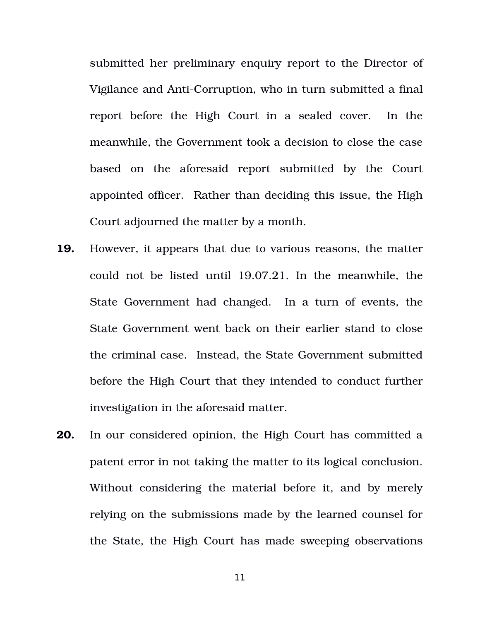submitted her preliminary enquiry report to the Director of Vigilance and Anti-Corruption, who in turn submitted a final report before the High Court in a sealed cover. In the meanwhile, the Government took a decision to close the case based on the aforesaid report submitted by the Court appointed officer. Rather than deciding this issue, the High Court adjourned the matter by a month.

- **19.** However, it appears that due to various reasons, the matter could not be listed until 19.07.21. In the meanwhile, the State Government had changed. In a turn of events, the State Government went back on their earlier stand to close the criminal case. Instead, the State Government submitted before the High Court that they intended to conduct further investigation in the aforesaid matter.
- **20.** In our considered opinion, the High Court has committed a patent error in not taking the matter to its logical conclusion. Without considering the material before it, and by merely relying on the submissions made by the learned counsel for the State, the High Court has made sweeping observations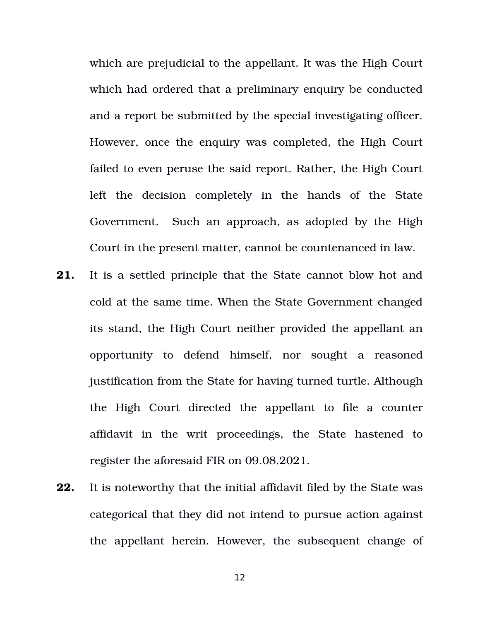which are prejudicial to the appellant. It was the High Court which had ordered that a preliminary enquiry be conducted and a report be submitted by the special investigating officer. However, once the enquiry was completed, the High Court failed to even peruse the said report. Rather, the High Court left the decision completely in the hands of the State Government. Such an approach, as adopted by the High Court in the present matter, cannot be countenanced in law.

- **21.** It is a settled principle that the State cannot blow hot and cold at the same time. When the State Government changed its stand, the High Court neither provided the appellant an opportunity to defend himself, nor sought a reasoned justification from the State for having turned turtle. Although the High Court directed the appellant to file a counter affidavit in the writ proceedings, the State hastened to register the aforesaid FIR on 09.08.2021.
- **22.** It is noteworthy that the initial affidavit filed by the State was categorical that they did not intend to pursue action against the appellant herein. However, the subsequent change of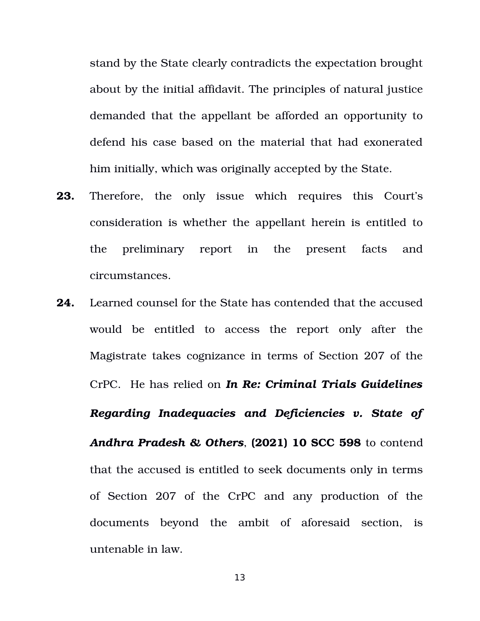stand by the State clearly contradicts the expectation brought about by the initial affidavit. The principles of natural justice demanded that the appellant be afforded an opportunity to defend his case based on the material that had exonerated him initially, which was originally accepted by the State.

- **23.** Therefore, the only issue which requires this Court's consideration is whether the appellant herein is entitled to the preliminary report in the present facts and circumstances.
- **24.** Learned counsel for the State has contended that the accused would be entitled to access the report only after the Magistrate takes cognizance in terms of Section 207 of the CrPC. He has relied on *In Re: Criminal Trials Guidelines Regarding Inadequacies and Deficiencies v. State of Andhra Pradesh & Others*, **(2021) 10 SCC 598** to contend that the accused is entitled to seek documents only in terms of Section 207 of the CrPC and any production of the documents beyond the ambit of aforesaid section, is untenable in law.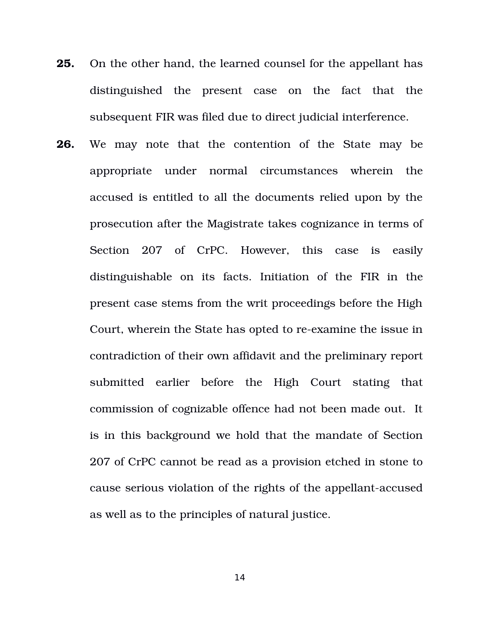- **25.** On the other hand, the learned counsel for the appellant has distinguished the present case on the fact that the subsequent FIR was filed due to direct judicial interference.
- **26.** We may note that the contention of the State may be appropriate under normal circumstances wherein the accused is entitled to all the documents relied upon by the prosecution after the Magistrate takes cognizance in terms of Section 207 of CrPC. However, this case is easily distinguishable on its facts. Initiation of the FIR in the present case stems from the writ proceedings before the High Court, wherein the State has opted to re-examine the issue in contradiction of their own affidavit and the preliminary report submitted earlier before the High Court stating that commission of cognizable offence had not been made out. It is in this background we hold that the mandate of Section 207 of CrPC cannot be read as a provision etched in stone to cause serious violation of the rights of the appellant-accused as well as to the principles of natural justice.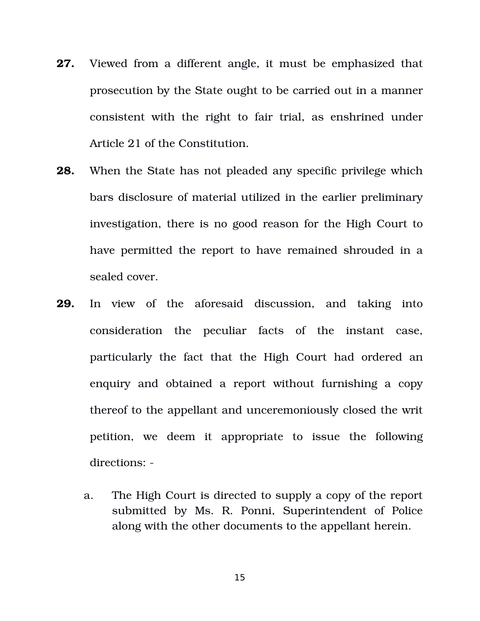- **27.** Viewed from a different angle, it must be emphasized that prosecution by the State ought to be carried out in a manner consistent with the right to fair trial, as enshrined under Article 21 of the Constitution.
- **28.** When the State has not pleaded any specific privilege which bars disclosure of material utilized in the earlier preliminary investigation, there is no good reason for the High Court to have permitted the report to have remained shrouded in a sealed cover.
- **29.** In view of the aforesaid discussion, and taking into consideration the peculiar facts of the instant case, particularly the fact that the High Court had ordered an enquiry and obtained a report without furnishing a copy thereof to the appellant and unceremoniously closed the writ petition, we deem it appropriate to issue the following directions:
	- a. The High Court is directed to supply a copy of the report submitted by Ms. R. Ponni, Superintendent of Police along with the other documents to the appellant herein.